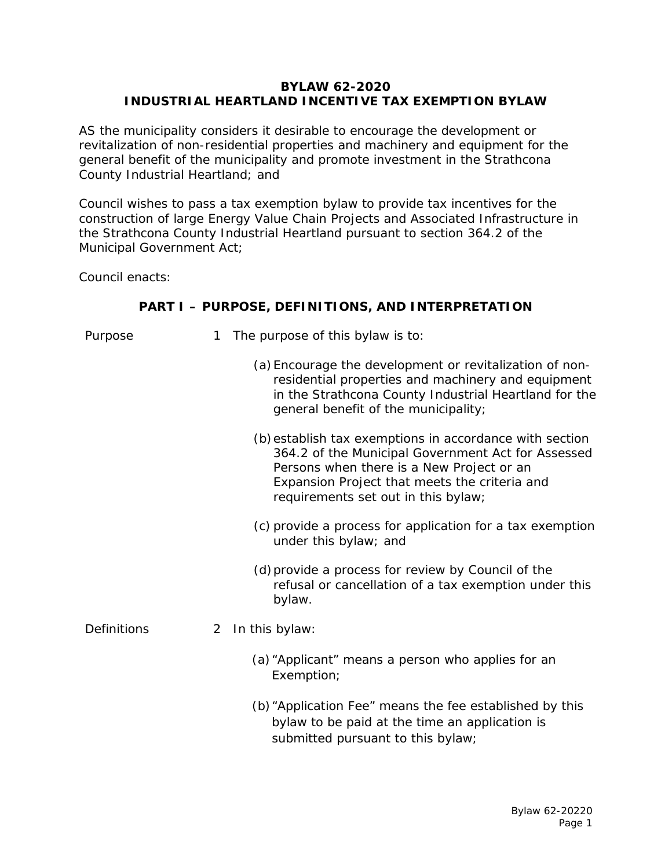#### **BYLAW 62-2020 INDUSTRIAL HEARTLAND INCENTIVE TAX EXEMPTION BYLAW**

AS the municipality considers it desirable to encourage the development or revitalization of non-residential properties and machinery and equipment for the general benefit of the municipality and promote investment in the Strathcona County Industrial Heartland; and

Council wishes to pass a tax exemption bylaw to provide tax incentives for the construction of large Energy Value Chain Projects and Associated Infrastructure in the Strathcona County Industrial Heartland pursuant to section 364.2 of the Municipal Government Act;

Council enacts:

### **PART I – PURPOSE, DEFINITIONS, AND INTERPRETATION**

| Purpose            | 1 | The purpose of this bylaw is to:                                                                                                                                                                                                                   |
|--------------------|---|----------------------------------------------------------------------------------------------------------------------------------------------------------------------------------------------------------------------------------------------------|
|                    |   | (a) Encourage the development or revitalization of non-<br>residential properties and machinery and equipment<br>in the Strathcona County Industrial Heartland for the<br>general benefit of the municipality;                                     |
|                    |   | (b) establish tax exemptions in accordance with section<br>364.2 of the Municipal Government Act for Assessed<br>Persons when there is a New Project or an<br>Expansion Project that meets the criteria and<br>requirements set out in this bylaw; |
|                    |   | (c) provide a process for application for a tax exemption<br>under this bylaw; and                                                                                                                                                                 |
|                    |   | (d) provide a process for review by Council of the<br>refusal or cancellation of a tax exemption under this<br>bylaw.                                                                                                                              |
| <b>Definitions</b> | 2 | In this bylaw:                                                                                                                                                                                                                                     |
|                    |   | (a) "Applicant" means a person who applies for an<br>Exemption;                                                                                                                                                                                    |
|                    |   | (b) "Application Fee" means the fee established by this<br>bylaw to be paid at the time an application is<br>submitted pursuant to this bylaw;                                                                                                     |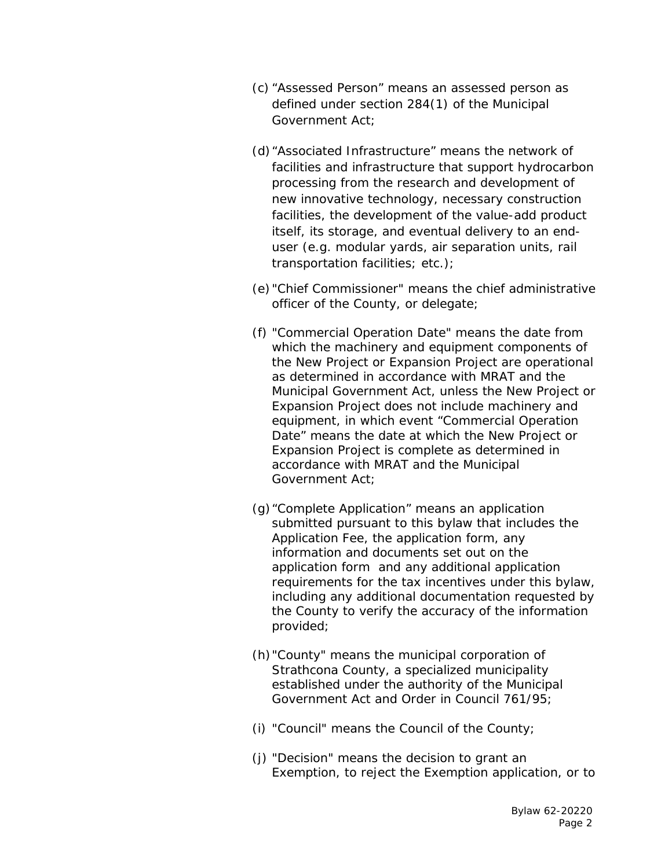- (c) "Assessed Person" means an assessed person as defined under section 284(1) of the Municipal Government Act;
- (d)"Associated Infrastructure" means the network of facilities and infrastructure that support hydrocarbon processing from the research and development of new innovative technology, necessary construction facilities, the development of the value-add product itself, its storage, and eventual delivery to an enduser (e.g. modular yards, air separation units, rail transportation facilities; etc.);
- (e) "Chief Commissioner" means the chief administrative officer of the County, or delegate;
- (f) "Commercial Operation Date" means the date from which the machinery and equipment components of the New Project or Expansion Project are operational as determined in accordance with MRAT and the Municipal Government Act, unless the New Project or Expansion Project does not include machinery and equipment, in which event "Commercial Operation Date" means the date at which the New Project or Expansion Project is complete as determined in accordance with MRAT and the Municipal Government Act;
- (g)"Complete Application" means an application submitted pursuant to this bylaw that includes the Application Fee, the application form, any information and documents set out on the application form and any additional application requirements for the tax incentives under this bylaw, including any additional documentation requested by the County to verify the accuracy of the information provided;
- (h)"County" means the municipal corporation of Strathcona County, a specialized municipality established under the authority of the Municipal Government Act and Order in Council 761/95;
- (i) "Council" means the Council of the County;
- (j) "Decision" means the decision to grant an Exemption, to reject the Exemption application, or to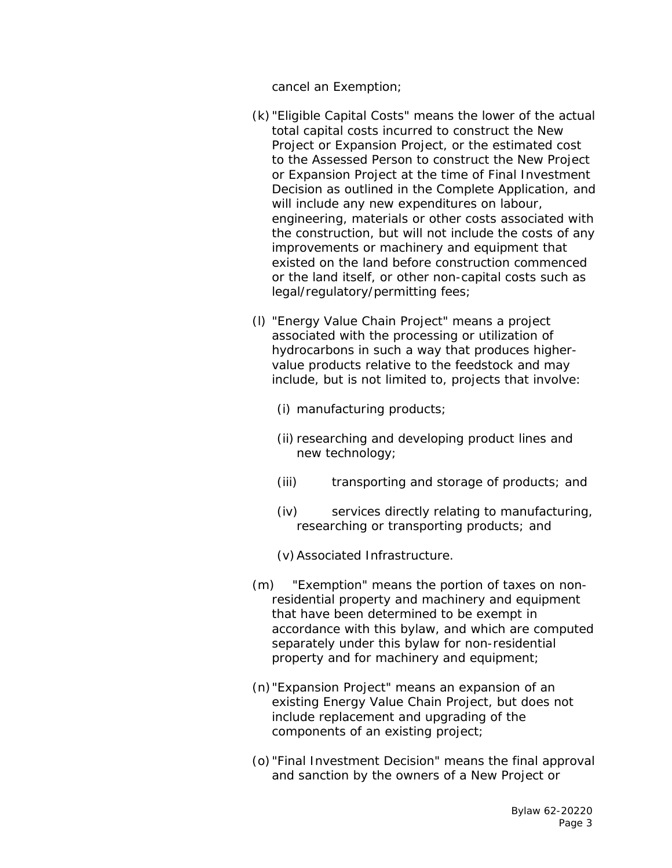cancel an Exemption;

- (k) "Eligible Capital Costs" means the lower of the actual total capital costs incurred to construct the New Project or Expansion Project, or the estimated cost to the Assessed Person to construct the New Project or Expansion Project at the time of Final Investment Decision as outlined in the Complete Application, and will include any new expenditures on labour, engineering, materials or other costs associated with the construction, but will not include the costs of any improvements or machinery and equipment that existed on the land before construction commenced or the land itself, or other non-capital costs such as legal/regulatory/permitting fees;
- (l) "Energy Value Chain Project" means a project associated with the processing or utilization of hydrocarbons in such a way that produces highervalue products relative to the feedstock and may include, but is not limited to, projects that involve:
	- (i) manufacturing products;
	- (ii) researching and developing product lines and new technology;
	- (iii) transporting and storage of products; and
	- (iv) services directly relating to manufacturing, researching or transporting products; and
	- (v)Associated Infrastructure.
- (m) "Exemption" means the portion of taxes on nonresidential property and machinery and equipment that have been determined to be exempt in accordance with this bylaw, and which are computed separately under this bylaw for non-residential property and for machinery and equipment;
- (n)"Expansion Project" means an expansion of an existing Energy Value Chain Project, but does not include replacement and upgrading of the components of an existing project;
- (o)"Final Investment Decision" means the final approval and sanction by the owners of a New Project or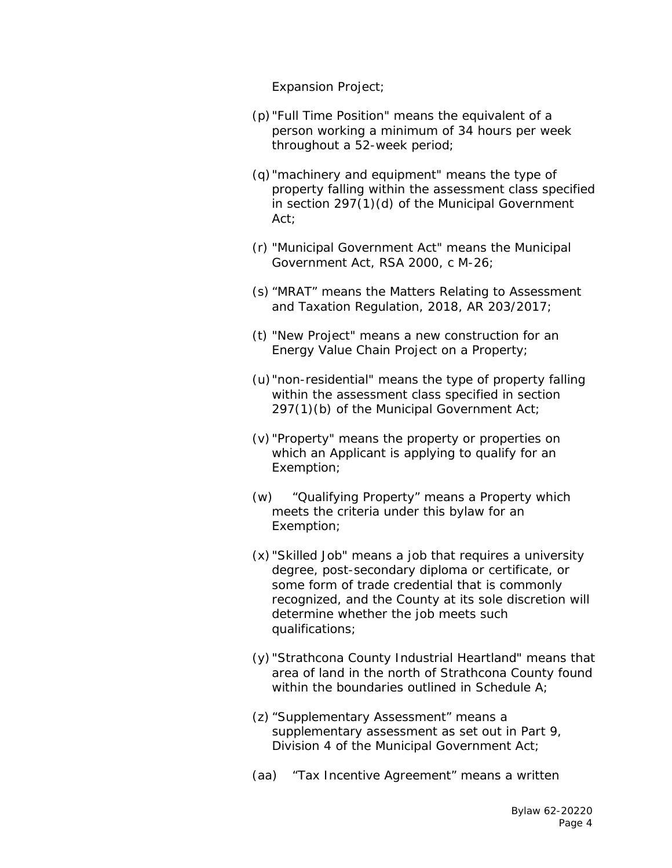Expansion Project;

- (p)"Full Time Position" means the equivalent of a person working a minimum of 34 hours per week throughout a 52-week period;
- (q)"machinery and equipment" means the type of property falling within the assessment class specified in section 297(1)(d) of the Municipal Government Act;
- (r) "Municipal Government Act" means the *Municipal Government Act*, RSA 2000, c M-26;
- (s) "MRAT" means the *Matters Relating to Assessment and Taxation Regulation*, 2018, AR 203/2017;
- (t) "New Project" means a new construction for an Energy Value Chain Project on a Property;
- (u)"non-residential" means the type of property falling within the assessment class specified in section 297(1)(b) of the Municipal Government Act;
- (v) "Property" means the property or properties on which an Applicant is applying to qualify for an Exemption;
- (w) "Qualifying Property" means a Property which meets the criteria under this bylaw for an Exemption;
- (x) "Skilled Job" means a job that requires a university degree, post-secondary diploma or certificate, or some form of trade credential that is commonly recognized, and the County at its sole discretion will determine whether the job meets such qualifications;
- (y) "Strathcona County Industrial Heartland" means that area of land in the north of Strathcona County found within the boundaries outlined in Schedule A;
- (z) "Supplementary Assessment" means a supplementary assessment as set out in Part 9, Division 4 of the Municipal Government Act;
- (aa) "Tax Incentive Agreement" means a written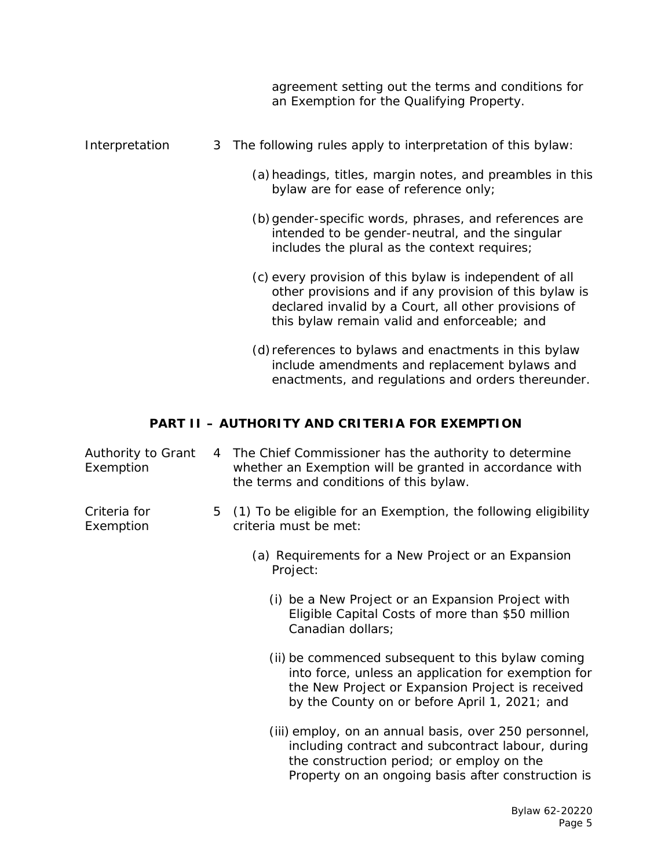|                | agreement setting out the terms and conditions for<br>an Exemption for the Qualifying Property.                                                                                                                           |
|----------------|---------------------------------------------------------------------------------------------------------------------------------------------------------------------------------------------------------------------------|
| Interpretation | 3 The following rules apply to interpretation of this bylaw:                                                                                                                                                              |
|                | (a) headings, titles, margin notes, and preambles in this<br>bylaw are for ease of reference only;                                                                                                                        |
|                | (b) gender-specific words, phrases, and references are<br>intended to be gender-neutral, and the singular<br>includes the plural as the context requires;                                                                 |
|                | (c) every provision of this bylaw is independent of all<br>other provisions and if any provision of this bylaw is<br>declared invalid by a Court, all other provisions of<br>this bylaw remain valid and enforceable; and |
|                | (d) references to bylaws and enactments in this bylaw<br>include amendments and replacement bylaws and<br>enactments, and regulations and orders thereunder.                                                              |

# **PART II – AUTHORITY AND CRITERIA FOR EXEMPTION**

| Authority to Grant<br>Exemption |   | 4 The Chief Commissioner has the authority to determine<br>whether an Exemption will be granted in accordance with<br>the terms and conditions of this bylaw.                                                 |
|---------------------------------|---|---------------------------------------------------------------------------------------------------------------------------------------------------------------------------------------------------------------|
| Criteria for<br>Exemption       | 5 | (1) To be eligible for an Exemption, the following eligibility<br>criteria must be met:                                                                                                                       |
|                                 |   | (a) Requirements for a New Project or an Expansion<br>Project:                                                                                                                                                |
|                                 |   | (i) be a New Project or an Expansion Project with<br>Eligible Capital Costs of more than \$50 million<br>Canadian dollars;                                                                                    |
|                                 |   | (ii) be commenced subsequent to this bylaw coming<br>into force, unless an application for exemption for<br>the New Project or Expansion Project is received<br>by the County on or before April 1, 2021; and |
|                                 |   | (iii) employ, on an annual basis, over 250 personnel,<br>including contract and subcontract labour, during<br>the construction period; or employ on the<br>Property on an ongoing basis after construction is |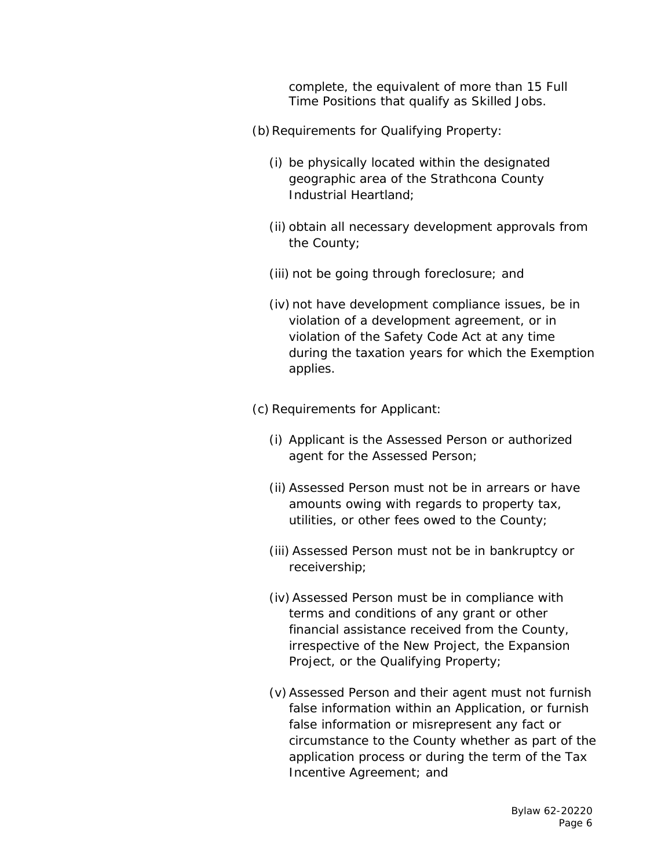complete, the equivalent of more than 15 Full Time Positions that qualify as Skilled Jobs.

- (b) Requirements for Qualifying Property:
	- (i) be physically located within the designated geographic area of the Strathcona County Industrial Heartland;
	- (ii) obtain all necessary development approvals from the County;
	- (iii) not be going through foreclosure; and
	- (iv) not have development compliance issues, be in violation of a development agreement, or in violation of the *Safety Code Act* at any time during the taxation years for which the Exemption applies.
- (c) Requirements for Applicant:
	- (i) Applicant is the Assessed Person or authorized agent for the Assessed Person;
	- (ii) Assessed Person must not be in arrears or have amounts owing with regards to property tax, utilities, or other fees owed to the County;
	- (iii) Assessed Person must not be in bankruptcy or receivership;
	- (iv)Assessed Person must be in compliance with terms and conditions of any grant or other financial assistance received from the County, irrespective of the New Project, the Expansion Project, or the Qualifying Property;
	- (v)Assessed Person and their agent must not furnish false information within an Application, or furnish false information or misrepresent any fact or circumstance to the County whether as part of the application process or during the term of the Tax Incentive Agreement; and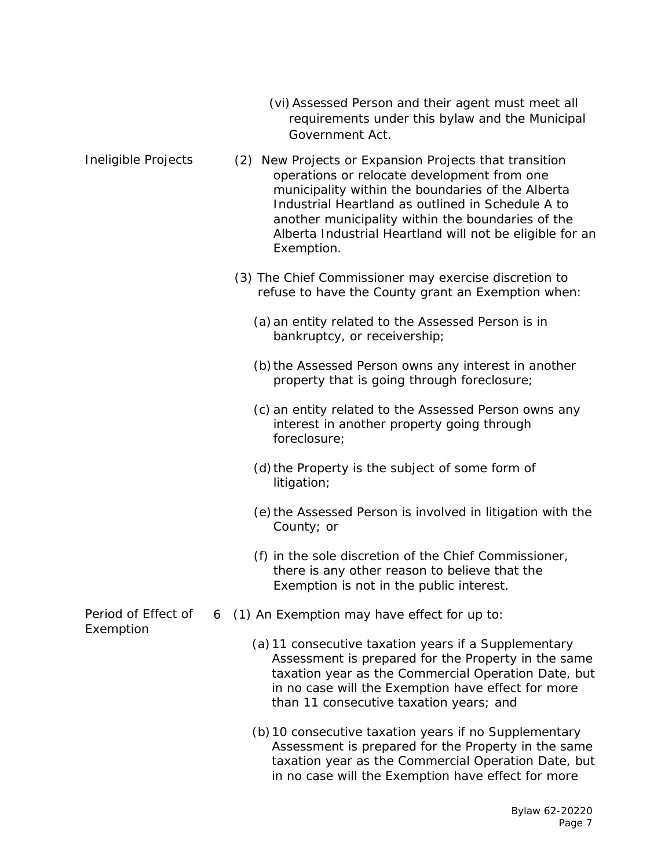- (vi)Assessed Person and their agent must meet all requirements under this bylaw and the Municipal Government Act.
- Ineligible Projects Period of Effect of Exemption (2) New Projects or Expansion Projects that transition operations or relocate development from one municipality within the boundaries of the Alberta Industrial Heartland as outlined in Schedule A to another municipality within the boundaries of the Alberta Industrial Heartland will not be eligible for an Exemption. (3) The Chief Commissioner may exercise discretion to refuse to have the County grant an Exemption when: (a)an entity related to the Assessed Person is in bankruptcy, or receivership; (b) the Assessed Person owns any interest in another property that is going through foreclosure; (c) an entity related to the Assessed Person owns any interest in another property going through foreclosure; (d) the Property is the subject of some form of litigation; (e) the Assessed Person is involved in litigation with the County; or (f) in the sole discretion of the Chief Commissioner, there is any other reason to believe that the Exemption is not in the public interest. 6 (1) An Exemption may have effect for up to: (a)11 consecutive taxation years if a Supplementary Assessment is prepared for the Property in the same taxation year as the Commercial Operation Date, but in no case will the Exemption have effect for more than 11 consecutive taxation years; and (b)10 consecutive taxation years if no Supplementary
	- Assessment is prepared for the Property in the same taxation year as the Commercial Operation Date, but in no case will the Exemption have effect for more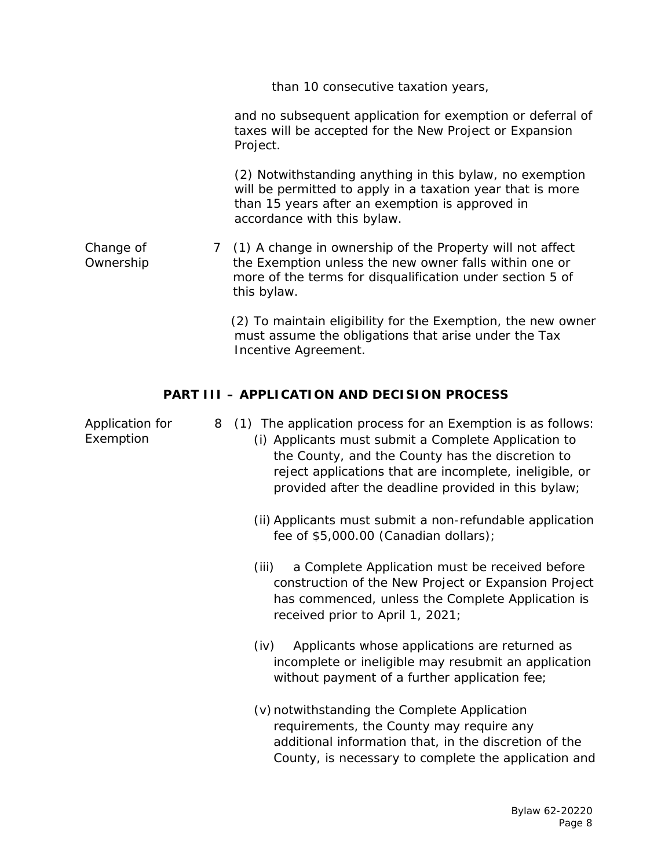|                        | than 10 consecutive taxation years,                                                                                                                                                                      |
|------------------------|----------------------------------------------------------------------------------------------------------------------------------------------------------------------------------------------------------|
|                        | and no subsequent application for exemption or deferral of<br>taxes will be accepted for the New Project or Expansion<br>Project.                                                                        |
|                        | (2) Notwithstanding anything in this bylaw, no exemption<br>will be permitted to apply in a taxation year that is more<br>than 15 years after an exemption is approved in<br>accordance with this bylaw. |
| Change of<br>Ownership | 7 (1) A change in ownership of the Property will not affect<br>the Exemption unless the new owner falls within one or<br>more of the terms for disqualification under section 5 of<br>this bylaw.        |
|                        | (2) To maintain eligibility for the Exemption, the new owner<br>must assume the obligations that arise under the Tax<br>Incentive Agreement.                                                             |

# **PART III – APPLICATION AND DECISION PROCESS**

| Application for<br>Exemption | 8 (1) The application process for an Exemption is as follows:<br>(i) Applicants must submit a Complete Application to<br>the County, and the County has the discretion to<br>reject applications that are incomplete, ineligible, or<br>provided after the deadline provided in this bylaw; |
|------------------------------|---------------------------------------------------------------------------------------------------------------------------------------------------------------------------------------------------------------------------------------------------------------------------------------------|
|                              | (ii) Applicants must submit a non-refundable application<br>fee of \$5,000.00 (Canadian dollars);                                                                                                                                                                                           |
|                              | a Complete Application must be received before<br>(iii)<br>construction of the New Project or Expansion Project<br>has commenced, unless the Complete Application is<br>received prior to April 1, 2021;                                                                                    |
|                              | Applicants whose applications are returned as<br>(iv)<br>incomplete or ineligible may resubmit an application<br>without payment of a further application fee;                                                                                                                              |
|                              | (v) notwithstanding the Complete Application<br>requirements, the County may require any<br>additional information that, in the discretion of the<br>County, is necessary to complete the application and                                                                                   |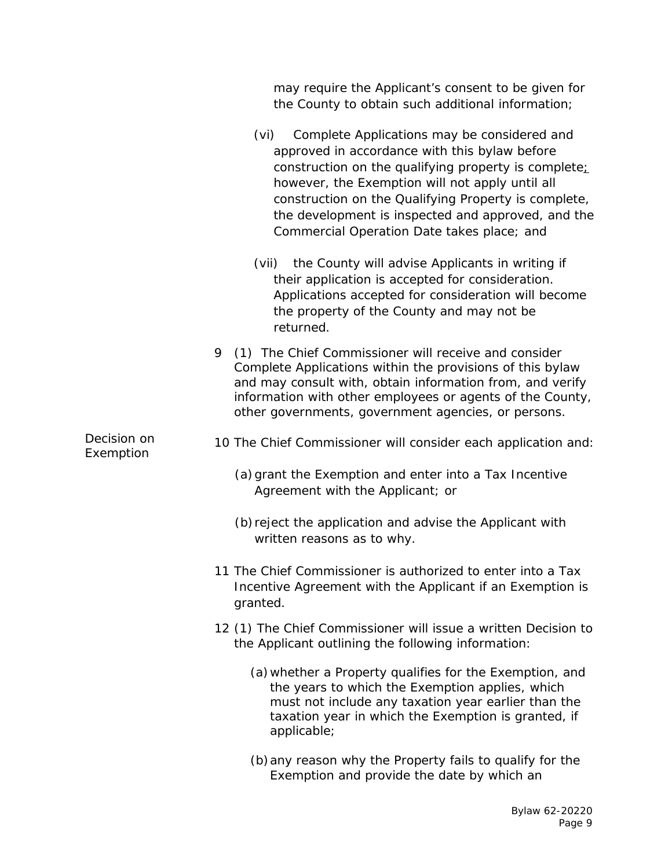|                          | may require the Applicant's consent to be given for<br>the County to obtain such additional information;                                                                                                                                                                                                                                                                    |
|--------------------------|-----------------------------------------------------------------------------------------------------------------------------------------------------------------------------------------------------------------------------------------------------------------------------------------------------------------------------------------------------------------------------|
|                          | (vi)<br>Complete Applications may be considered and<br>approved in accordance with this bylaw before<br>construction on the qualifying property is complete;<br>however, the Exemption will not apply until all<br>construction on the Qualifying Property is complete,<br>the development is inspected and approved, and the<br>Commercial Operation Date takes place; and |
|                          | the County will advise Applicants in writing if<br>(vii)<br>their application is accepted for consideration.<br>Applications accepted for consideration will become<br>the property of the County and may not be<br>returned.                                                                                                                                               |
|                          | 9<br>(1) The Chief Commissioner will receive and consider<br>Complete Applications within the provisions of this bylaw<br>and may consult with, obtain information from, and verify<br>information with other employees or agents of the County,<br>other governments, government agencies, or persons.                                                                     |
| Decision on<br>Exemption | 10 The Chief Commissioner will consider each application and:                                                                                                                                                                                                                                                                                                               |
|                          | (a) grant the Exemption and enter into a Tax Incentive<br>Agreement with the Applicant; or                                                                                                                                                                                                                                                                                  |
|                          | (b) reject the application and advise the Applicant with<br>written reasons as to why.                                                                                                                                                                                                                                                                                      |
|                          | 11 The Chief Commissioner is authorized to enter into a Tax<br>Incentive Agreement with the Applicant if an Exemption is<br>granted.                                                                                                                                                                                                                                        |
|                          | 12 (1) The Chief Commissioner will issue a written Decision to<br>the Applicant outlining the following information:                                                                                                                                                                                                                                                        |
|                          | (a) whether a Property qualifies for the Exemption, and<br>the years to which the Exemption applies, which<br>must not include any taxation year earlier than the<br>taxation year in which the Exemption is granted, if<br>applicable;                                                                                                                                     |
|                          | (b) any reason why the Property fails to qualify for the<br>Exemption and provide the date by which an                                                                                                                                                                                                                                                                      |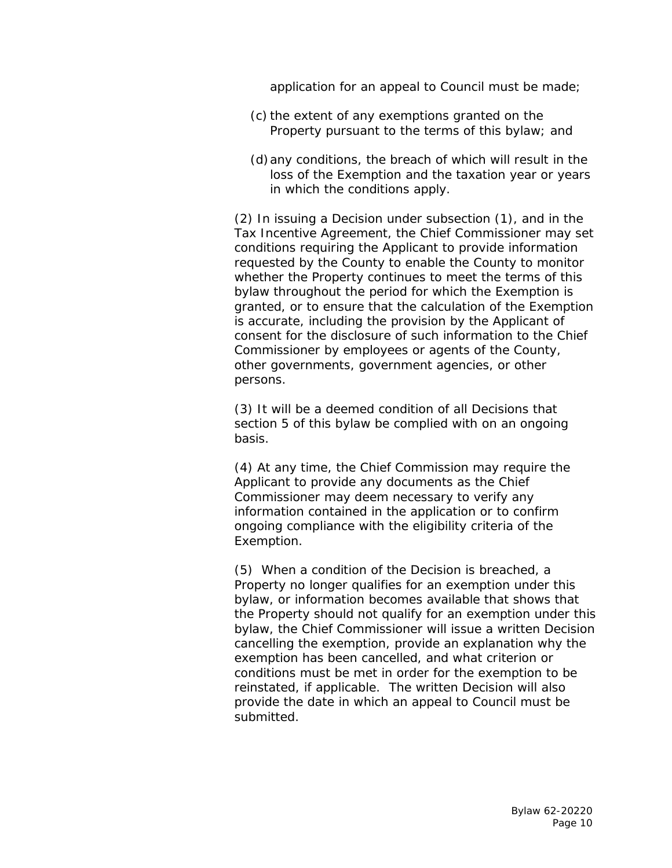application for an appeal to Council must be made;

- (c) the extent of any exemptions granted on the Property pursuant to the terms of this bylaw; and
- (d)any conditions, the breach of which will result in the loss of the Exemption and the taxation year or years in which the conditions apply.

(2) In issuing a Decision under subsection (1), and in the Tax Incentive Agreement, the Chief Commissioner may set conditions requiring the Applicant to provide information requested by the County to enable the County to monitor whether the Property continues to meet the terms of this bylaw throughout the period for which the Exemption is granted, or to ensure that the calculation of the Exemption is accurate, including the provision by the Applicant of consent for the disclosure of such information to the Chief Commissioner by employees or agents of the County, other governments, government agencies, or other persons.

(3) It will be a deemed condition of all Decisions that section 5 of this bylaw be complied with on an ongoing basis.

(4) At any time, the Chief Commission may require the Applicant to provide any documents as the Chief Commissioner may deem necessary to verify any information contained in the application or to confirm ongoing compliance with the eligibility criteria of the Exemption.

(5) When a condition of the Decision is breached, a Property no longer qualifies for an exemption under this bylaw, or information becomes available that shows that the Property should not qualify for an exemption under this bylaw, the Chief Commissioner will issue a written Decision cancelling the exemption, provide an explanation why the exemption has been cancelled, and what criterion or conditions must be met in order for the exemption to be reinstated, if applicable. The written Decision will also provide the date in which an appeal to Council must be submitted.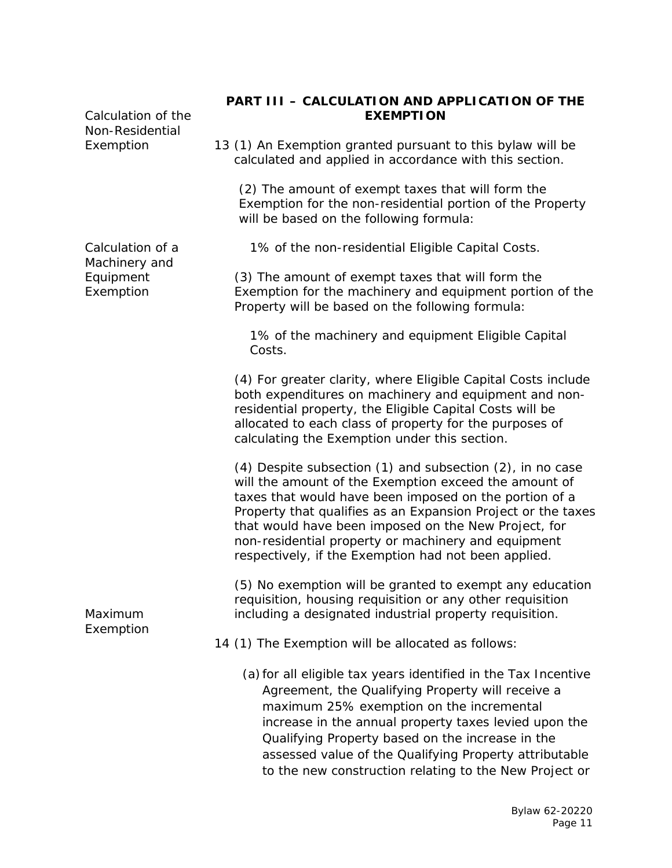| Calculation of the<br>Non-Residential | PART III - CALCULATION AND APPLICATION OF THE<br><b>EXEMPTION</b>                                                                                                                                                                                                                                                                                                                                                          |
|---------------------------------------|----------------------------------------------------------------------------------------------------------------------------------------------------------------------------------------------------------------------------------------------------------------------------------------------------------------------------------------------------------------------------------------------------------------------------|
| Exemption                             | 13 (1) An Exemption granted pursuant to this bylaw will be<br>calculated and applied in accordance with this section.                                                                                                                                                                                                                                                                                                      |
|                                       | (2) The amount of exempt taxes that will form the<br>Exemption for the non-residential portion of the Property<br>will be based on the following formula:                                                                                                                                                                                                                                                                  |
| Calculation of a<br>Machinery and     | 1% of the non-residential Eligible Capital Costs.                                                                                                                                                                                                                                                                                                                                                                          |
| Equipment<br>Exemption                | (3) The amount of exempt taxes that will form the<br>Exemption for the machinery and equipment portion of the<br>Property will be based on the following formula:                                                                                                                                                                                                                                                          |
|                                       | 1% of the machinery and equipment Eligible Capital<br>Costs.                                                                                                                                                                                                                                                                                                                                                               |
|                                       | (4) For greater clarity, where Eligible Capital Costs include<br>both expenditures on machinery and equipment and non-<br>residential property, the Eligible Capital Costs will be<br>allocated to each class of property for the purposes of<br>calculating the Exemption under this section.                                                                                                                             |
|                                       | $(4)$ Despite subsection $(1)$ and subsection $(2)$ , in no case<br>will the amount of the Exemption exceed the amount of<br>taxes that would have been imposed on the portion of a<br>Property that qualifies as an Expansion Project or the taxes<br>that would have been imposed on the New Project, for<br>non-residential property or machinery and equipment<br>respectively, if the Exemption had not been applied. |
| Maximum<br>Exemption                  | (5) No exemption will be granted to exempt any education<br>requisition, housing requisition or any other requisition<br>including a designated industrial property requisition.                                                                                                                                                                                                                                           |
|                                       | 14 (1) The Exemption will be allocated as follows:                                                                                                                                                                                                                                                                                                                                                                         |
|                                       | (a) for all eligible tax years identified in the Tax Incentive<br>Agreement, the Qualifying Property will receive a<br>maximum 25% exemption on the incremental<br>increase in the annual property taxes levied upon the<br>Qualifying Property based on the increase in the<br>assessed value of the Qualifying Property attributable<br>to the new construction relating to the New Project or                           |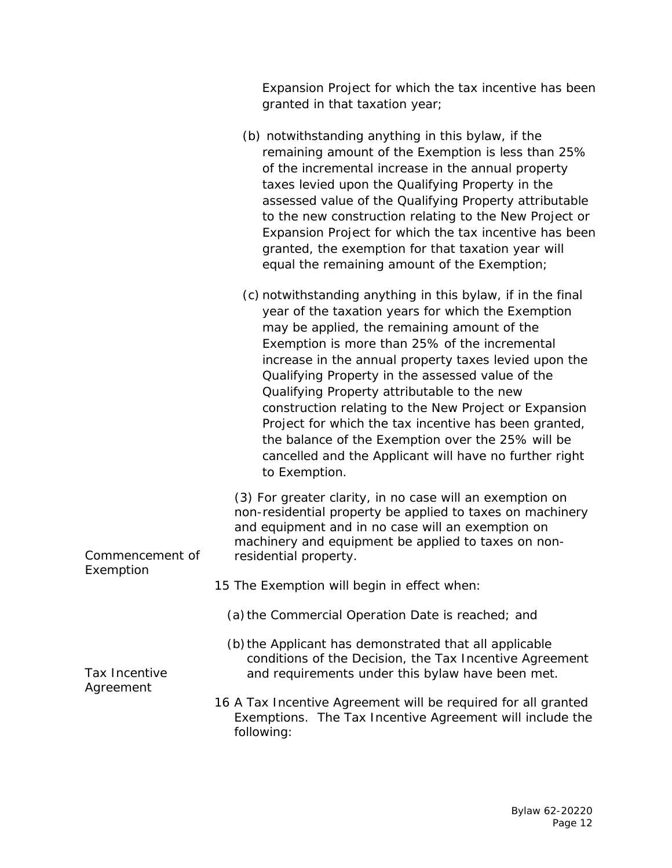Commencement of Exemption Tax Incentive Agreement granted in that taxation year; (b) notwithstanding anything in this bylaw, if the remaining amount of the Exemption is less than 25% of the incremental increase in the annual property taxes levied upon the Qualifying Property in the assessed value of the Qualifying Property attributable to the new construction relating to the New Project or Expansion Project for which the tax incentive has been granted, the exemption for that taxation year will equal the remaining amount of the Exemption; (c) notwithstanding anything in this bylaw, if in the final year of the taxation years for which the Exemption may be applied, the remaining amount of the Exemption is more than 25% of the incremental increase in the annual property taxes levied upon the Qualifying Property in the assessed value of the Qualifying Property attributable to the new construction relating to the New Project or Expansion Project for which the tax incentive has been granted, the balance of the Exemption over the 25% will be cancelled and the Applicant will have no further right to Exemption. (3) For greater clarity, in no case will an exemption on non-residential property be applied to taxes on machinery and equipment and in no case will an exemption on machinery and equipment be applied to taxes on nonresidential property. 15 The Exemption will begin in effect when: (a) the Commercial Operation Date is reached; and (b)the Applicant has demonstrated that all applicable conditions of the Decision, the Tax Incentive Agreement and requirements under this bylaw have been met. 16 A Tax Incentive Agreement will be required for all granted Exemptions. The Tax Incentive Agreement will include the following:

Expansion Project for which the tax incentive has been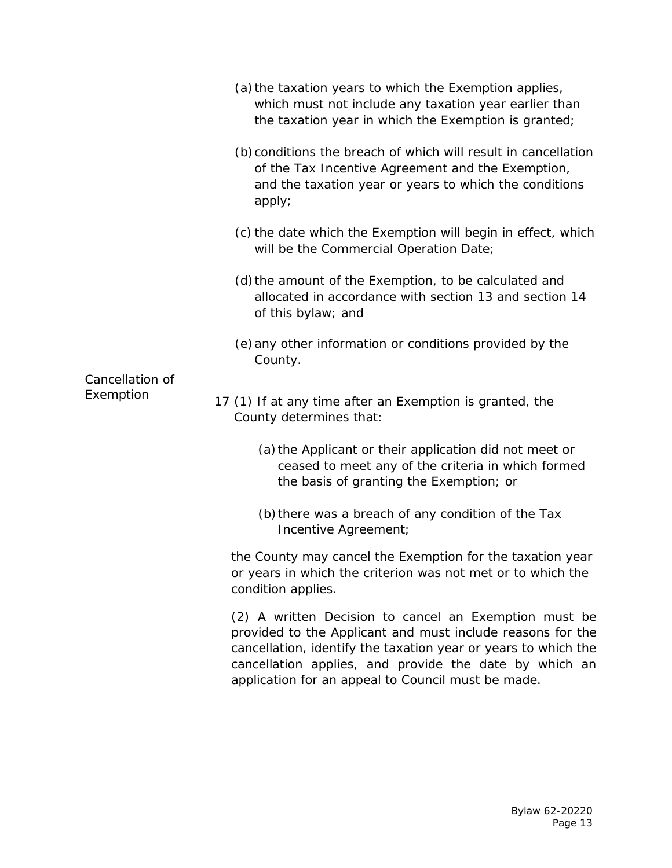| (a) the taxation years to which the Exemption applies,<br>which must not include any taxation year earlier than<br>the taxation year in which the Exemption is granted;                                                                                                                               |
|-------------------------------------------------------------------------------------------------------------------------------------------------------------------------------------------------------------------------------------------------------------------------------------------------------|
| (b) conditions the breach of which will result in cancellation<br>of the Tax Incentive Agreement and the Exemption,<br>and the taxation year or years to which the conditions<br>apply;                                                                                                               |
| (c) the date which the Exemption will begin in effect, which<br>will be the Commercial Operation Date;                                                                                                                                                                                                |
| (d) the amount of the Exemption, to be calculated and<br>allocated in accordance with section 13 and section 14<br>of this bylaw; and                                                                                                                                                                 |
| (e) any other information or conditions provided by the<br>County.                                                                                                                                                                                                                                    |
| 17 (1) If at any time after an Exemption is granted, the<br>County determines that:                                                                                                                                                                                                                   |
| (a) the Applicant or their application did not meet or<br>ceased to meet any of the criteria in which formed<br>the basis of granting the Exemption; or                                                                                                                                               |
| (b) there was a breach of any condition of the Tax<br>Incentive Agreement;                                                                                                                                                                                                                            |
| the County may cancel the Exemption for the taxation year<br>or years in which the criterion was not met or to which the<br>condition applies.                                                                                                                                                        |
| (2) A written Decision to cancel an Exemption must be<br>provided to the Applicant and must include reasons for the<br>cancellation, identify the taxation year or years to which the<br>cancellation applies, and provide the date by which an<br>application for an appeal to Council must be made. |
|                                                                                                                                                                                                                                                                                                       |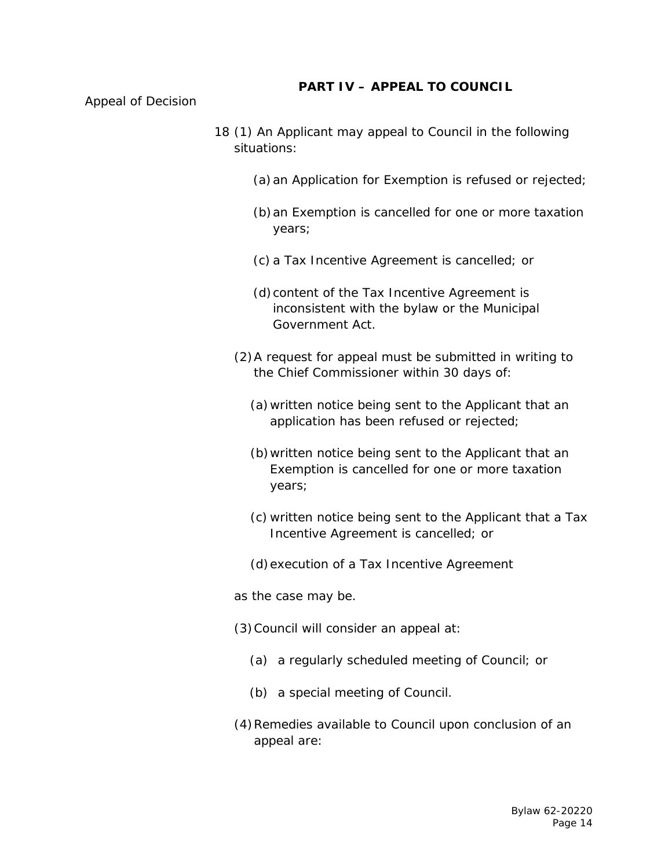### **PART IV – APPEAL TO COUNCIL**

Appeal of Decision

- 18 (1) An Applicant may appeal to Council in the following situations:
	- (a) an Application for Exemption is refused or rejected;
	- (b)an Exemption is cancelled for one or more taxation years;
	- (c) a Tax Incentive Agreement is cancelled; or
	- (d)content of the Tax Incentive Agreement is inconsistent with the bylaw or the Municipal Government Act.
	- (2)A request for appeal must be submitted in writing to the Chief Commissioner within 30 days of:
		- (a)written notice being sent to the Applicant that an application has been refused or rejected;
		- (b)written notice being sent to the Applicant that an Exemption is cancelled for one or more taxation years;
		- (c) written notice being sent to the Applicant that a Tax Incentive Agreement is cancelled; or
		- (d)execution of a Tax Incentive Agreement
	- as the case may be.
	- (3)Council will consider an appeal at:
		- (a) a regularly scheduled meeting of Council; or
		- (b) a special meeting of Council.
	- (4)Remedies available to Council upon conclusion of an appeal are: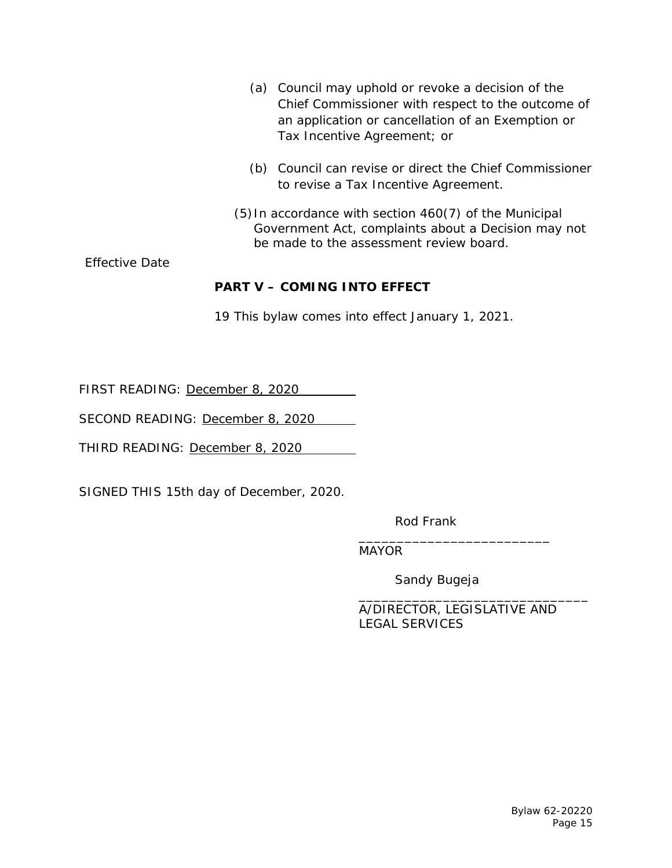|                       | Council may uphold or revoke a decision of the<br>(a)<br>Chief Commissioner with respect to the outcome of<br>an application or cancellation of an Exemption or<br>Tax Incentive Agreement; or |
|-----------------------|------------------------------------------------------------------------------------------------------------------------------------------------------------------------------------------------|
|                       | (b) Council can revise or direct the Chief Commissioner<br>to revise a Tax Incentive Agreement.                                                                                                |
|                       | (5) In accordance with section 460(7) of the Municipal<br>Government Act, complaints about a Decision may not<br>be made to the assessment review board.                                       |
| <b>Effective Date</b> |                                                                                                                                                                                                |
|                       | <b>PART V - COMING INTO EFFECT</b>                                                                                                                                                             |

19 This bylaw comes into effect January 1, 2021.

FIRST READING: December 8, 2020

SECOND READING: December 8, 2020

THIRD READING: December 8, 2020

SIGNED THIS 15th day of December, 2020.

Rod Frank

\_\_\_\_\_\_\_\_\_\_\_\_\_\_\_\_\_\_\_\_\_\_\_\_\_ MAYOR

Sandy Bugeja

\_\_\_\_\_\_\_\_\_\_\_\_\_\_\_\_\_\_\_\_\_\_\_\_\_\_\_\_\_\_ A/DIRECTOR, LEGISLATIVE AND LEGAL SERVICES